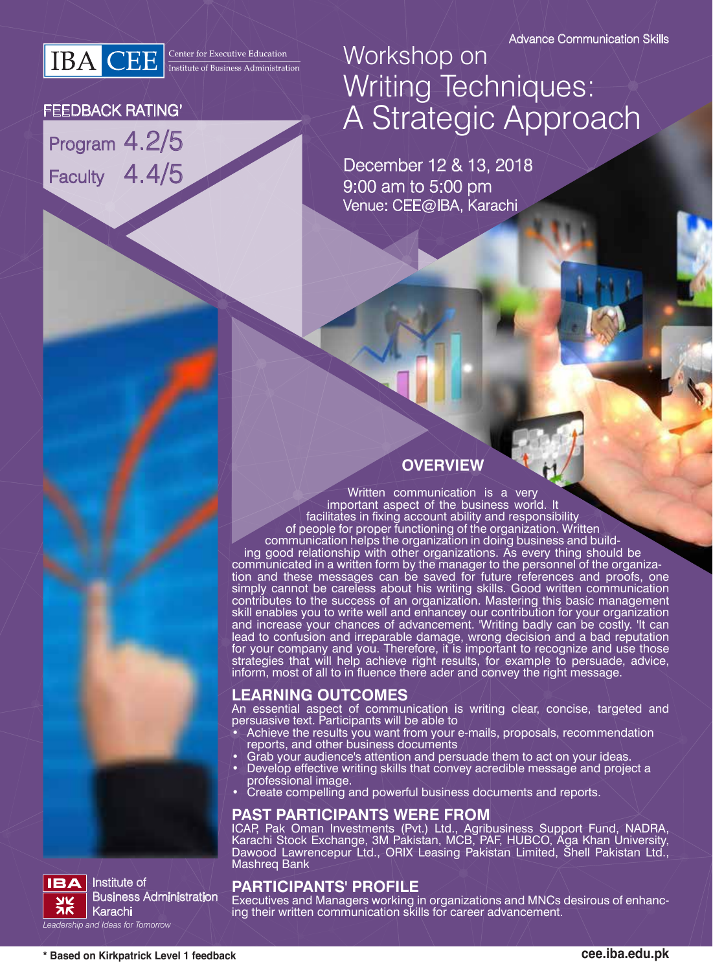**IBA** CEE **Executive Education** 

#### FEEDBACK RATING'

Program 4.2/5 Faculty 4.4/5

# Workshop on Writing Techniques: A Strategic Approach

December 12 & 13, 2018 9:00 am to 5:00 pm Venue: CEE@IBA, Karachi

### **OVERVIEW**

Written communication is a very important aspect of the business world. It facilitates in fixing account ability and responsibility of people for proper functioning of the organization. Written communication helps the organization in doing business and building good relationship with other organizations. As every thing should be communicated in a written form by the manager to the personnel of the organization and these messages can be saved for future references and proofs, one simply cannot be careless about his writing skills. Good written communication contributes to the success of an organization. Mastering this basic management skill enables you to write well and enhancey our contribution for your organization and increase your chances of advancement. 'Writing badly can be costly. 'It can lead to confusion and irreparable damage, wrong decision and a bad reputation for your company and you. Therefore, it is important to recognize and use those strategies that will help achieve right results, for example to persuade, advice, inform, most of all to in fluence there ader and convey the right message.

#### **LEARNING OUTCOMES**

An essential aspect of communication is writing clear, concise, targeted and persuasive text. Participants will be able to

- Achieve the results you want from your e-mails, proposals, recommendation reports, and other business documents
- Grab your audience's attention and persuade them to act on your ideas.
- Develop effective writing skills that convey acredible message and project a professional image.
- Create compelling and powerful business documents and reports.

#### **PAST PARTICIPANTS WERE FROM**

ICAP, Pak Oman Investments (Pvt.) Ltd., Agribusiness Support Fund, NADRA, Karachi Stock Exchange, 3M Pakistan, MCB, PAF, HUBCO, Aga Khan University, Dawood Lawrencepur Ltd., ORIX Leasing Pakistan Limited, Shell Pakistan Ltd., Mashreq Bank

#### **PARTICIPANTS' PROFILE**

Executives and Managers working in organizations and MNCs desirous of enhancing their written communication skills for career advancement.

Business Administration

Institute of

Karachi *Leadership and Ideas for Tomorrow*

**IBA**  $\frac{\mathbf{y}}{\mathbf{x}}$